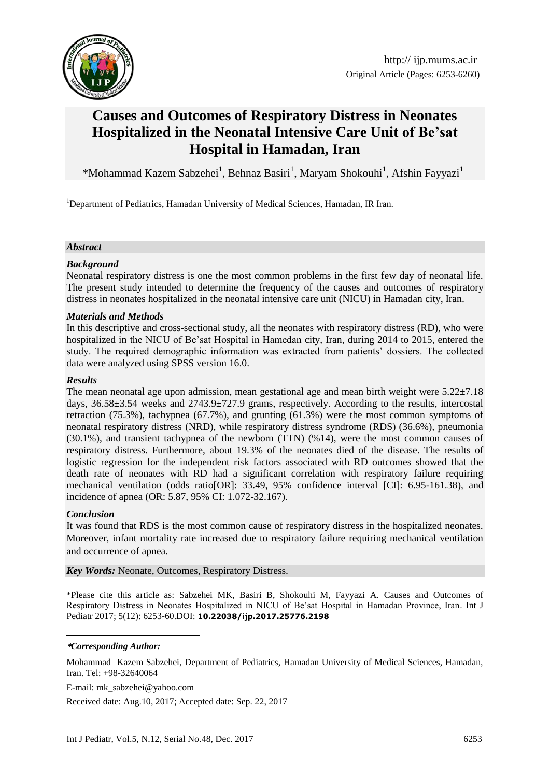

# **Causes and Outcomes of Respiratory Distress in Neonates Hospitalized in the Neonatal Intensive Care Unit of Be'sat Hospital in Hamadan, Iran**

\*Mohammad Kazem Sabzehei<sup>1</sup>, Behnaz Basiri<sup>1</sup>, Maryam Shokouhi<sup>1</sup>, Afshin Fayyazi<sup>1</sup>

<sup>1</sup>Department of Pediatrics, Hamadan University of Medical Sciences, Hamadan, IR Iran.

#### *Abstract*

#### *Background*

Neonatal respiratory distress is one the most common problems in the first few day of neonatal life. The present study intended to determine the frequency of the causes and outcomes of respiratory distress in neonates hospitalized in the neonatal intensive care unit (NICU) in Hamadan city, Iran.

#### *Materials and Methods*

In this descriptive and cross-sectional study, all the neonates with respiratory distress (RD), who were hospitalized in the NICU of Be'sat Hospital in Hamedan city, Iran, during 2014 to 2015, entered the study. The required demographic information was extracted from patients' dossiers. The collected data were analyzed using SPSS version 16.0.

#### *Results*

The mean neonatal age upon admission, mean gestational age and mean birth weight were  $5.22 \pm 7.18$ days, 36.58±3.54 weeks and 2743.9±727.9 grams, respectively. According to the results, intercostal retraction (75.3%), tachypnea (67.7%), and grunting (61.3%) were the most common symptoms of neonatal respiratory distress (NRD), while respiratory distress syndrome (RDS) (36.6%), pneumonia (30.1%), and transient tachypnea of the newborn (TTN) (%14), were the most common causes of respiratory distress. Furthermore, about 19.3% of the neonates died of the disease. The results of logistic regression for the independent risk factors associated with RD outcomes showed that the death rate of neonates with RD had a significant correlation with respiratory failure requiring mechanical ventilation (odds ratio[OR]: 33.49, 95% confidence interval [CI]: 6.95-161.38), and incidence of apnea (OR: 5.87, 95% CI: 1.072-32.167).

#### *Conclusion*

1

It was found that RDS is the most common cause of respiratory distress in the hospitalized neonates. Moreover, infant mortality rate increased due to respiratory failure requiring mechanical ventilation and occurrence of apnea.

*Key Words:* Neonate, Outcomes, Respiratory Distress.

\*Please cite this article as: Sabzehei MK, Basiri B, Shokouhi M, Fayyazi A. Causes and Outcomes of Respiratory Distress in Neonates Hospitalized in NICU of Be'sat Hospital in Hamadan Province, Iran. Int J Pediatr 2017; 5(12): 6253-60.DOI: **10.22038/ijp.2017.25776.2198**

**\****Corresponding Author:*

Mohammad Kazem Sabzehei, Department of Pediatrics, Hamadan University of Medical Sciences, Hamadan, Iran. Tel: +98-32640064

E-mail: mk\_sabzehei@yahoo.com

Received date: Aug.10, 2017; Accepted date: Sep. 22, 2017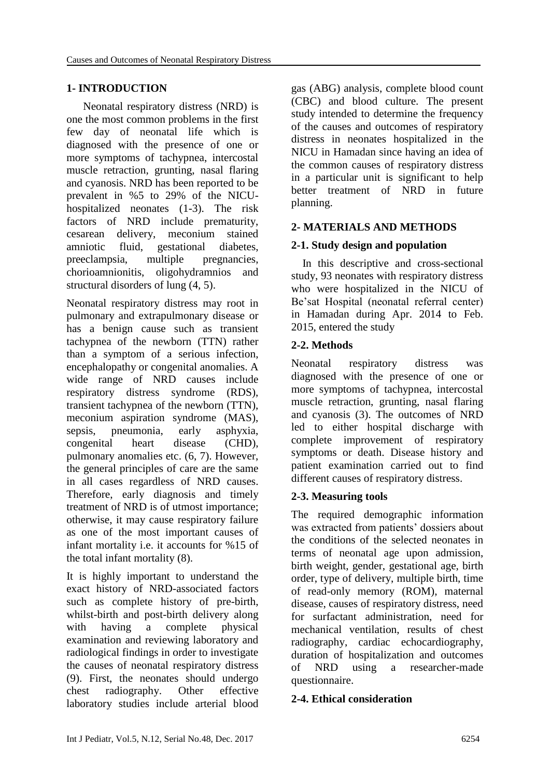# **1- INTRODUCTION**

 Neonatal respiratory distress (NRD) is one the most common problems in the first few day of neonatal life which is diagnosed with the presence of one or more symptoms of tachypnea, intercostal muscle retraction, grunting, nasal flaring and cyanosis. NRD has been reported to be prevalent in %5 to 29% of the NICUhospitalized neonates (1-3). The risk factors of NRD include prematurity, cesarean delivery, meconium stained amniotic fluid, gestational diabetes, preeclampsia, multiple pregnancies, chorioamnionitis, oligohydramnios and structural disorders of lung (4, 5).

Neonatal respiratory distress may root in pulmonary and extrapulmonary disease or has a benign cause such as transient tachypnea of the newborn (TTN) rather than a symptom of a serious infection, encephalopathy or congenital anomalies. A wide range of NRD causes include respiratory distress syndrome (RDS), transient tachypnea of the newborn (TTN), meconium aspiration syndrome (MAS), sepsis, pneumonia, early asphyxia, congenital heart disease (CHD), pulmonary anomalies etc. (6, 7). However, the general principles of care are the same in all cases regardless of NRD causes. Therefore, early diagnosis and timely treatment of NRD is of utmost importance; otherwise, it may cause respiratory failure as one of the most important causes of infant mortality i.e. it accounts for %15 of the total infant mortality (8).

It is highly important to understand the exact history of NRD-associated factors such as complete history of pre-birth, whilst-birth and post-birth delivery along with having a complete physical examination and reviewing laboratory and radiological findings in order to investigate the causes of neonatal respiratory distress (9). First, the neonates should undergo chest radiography. Other effective laboratory studies include arterial blood

gas (ABG) analysis, complete blood count (CBC) and blood culture. The present study intended to determine the frequency of the causes and outcomes of respiratory distress in neonates hospitalized in the NICU in Hamadan since having an idea of the common causes of respiratory distress in a particular unit is significant to help better treatment of NRD in future planning.

# **2- MATERIALS AND METHODS**

# **2-1. Study design and population**

 In this descriptive and cross-sectional study, 93 neonates with respiratory distress who were hospitalized in the NICU of Be'sat Hospital (neonatal referral center) in Hamadan during Apr. 2014 to Feb. 2015, entered the study

# **2-2. Methods**

Neonatal respiratory distress was diagnosed with the presence of one or more symptoms of tachypnea, intercostal muscle retraction, grunting, nasal flaring and cyanosis (3). The outcomes of NRD led to either hospital discharge with complete improvement of respiratory symptoms or death. Disease history and patient examination carried out to find different causes of respiratory distress.

# **2-3. Measuring tools**

The required demographic information was extracted from patients' dossiers about the conditions of the selected neonates in terms of neonatal age upon admission, birth weight, gender, gestational age, birth order, type of delivery, multiple birth, time of read-only memory (ROM), maternal disease, causes of respiratory distress, need for surfactant administration, need for mechanical ventilation, results of chest radiography, cardiac echocardiography, duration of hospitalization and outcomes of NRD using a researcher-made questionnaire.

## **2-4. Ethical consideration**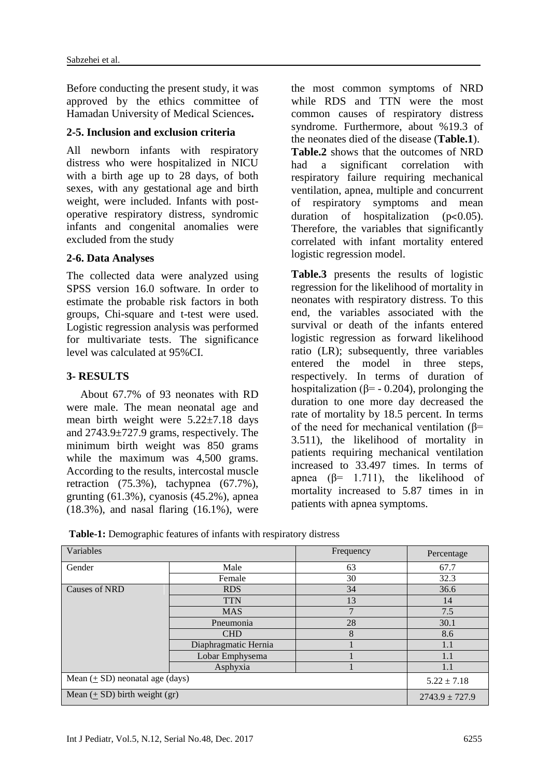Before conducting the present study, it was approved by the ethics committee of Hamadan University of Medical Sciences**.**

## **2-5. Inclusion and exclusion criteria**

All newborn infants with respiratory distress who were hospitalized in NICU with a birth age up to 28 days, of both sexes, with any gestational age and birth weight, were included. Infants with postoperative respiratory distress, syndromic infants and congenital anomalies were excluded from the study

## **2-6. Data Analyses**

The collected data were analyzed using SPSS version 16.0 software. In order to estimate the probable risk factors in both groups, Chi-square and t-test were used. Logistic regression analysis was performed for multivariate tests. The significance level was calculated at 95%CI.

## **3- RESULTS**

 About 67.7% of 93 neonates with RD were male. The mean neonatal age and mean birth weight were 5.22±7.18 days and 2743.9±727.9 grams, respectively. The minimum birth weight was 850 grams while the maximum was 4,500 grams. According to the results, intercostal muscle retraction (75.3%), tachypnea (67.7%), grunting (61.3%), cyanosis (45.2%), apnea (18.3%), and nasal flaring (16.1%), were

the most common symptoms of NRD while RDS and TTN were the most common causes of respiratory distress syndrome. Furthermore, about %19.3 of the neonates died of the disease (**Table.1**). **Table.2** shows that the outcomes of NRD had a significant correlation with respiratory failure requiring mechanical ventilation, apnea, multiple and concurrent of respiratory symptoms and mean duration of hospitalization (p<0.05). Therefore, the variables that significantly correlated with infant mortality entered logistic regression model.

**Table.3** presents the results of logistic regression for the likelihood of mortality in neonates with respiratory distress. To this end, the variables associated with the survival or death of the infants entered logistic regression as forward likelihood ratio (LR); subsequently, three variables entered the model in three steps, respectively. In terms of duration of hospitalization ( $\beta$ = - 0.204), prolonging the duration to one more day decreased the rate of mortality by 18.5 percent. In terms of the need for mechanical ventilation  $(\beta$ = 3.511), the likelihood of mortality in patients requiring mechanical ventilation increased to 33.497 times. In terms of apnea  $(\beta = 1.711)$ , the likelihood of mortality increased to 5.87 times in in patients with apnea symptoms.

| Table-1: Demographic features of infants with respiratory distress |  |  |  |
|--------------------------------------------------------------------|--|--|--|
|--------------------------------------------------------------------|--|--|--|

| Variables                            |                      | Frequency | Percentage |  |
|--------------------------------------|----------------------|-----------|------------|--|
| Male<br>Gender                       |                      | 63        | 67.7       |  |
|                                      | Female               | 30        | 32.3       |  |
| Causes of NRD                        | 34<br><b>RDS</b>     |           | 36.6       |  |
|                                      | <b>TTN</b>           | 13        | 14         |  |
|                                      | <b>MAS</b>           |           | 7.5        |  |
|                                      | Pneumonia            | 28        | 30.1       |  |
|                                      | <b>CHD</b>           | 8         | 8.6        |  |
|                                      | Diaphragmatic Hernia |           | 1.1        |  |
|                                      | Lobar Emphysema      |           | 1.1        |  |
|                                      | Asphyxia             |           | 1.1        |  |
| Mean $( \pm SD)$ neonatal age (days) | $5.22 \pm 7.18$      |           |            |  |
| Mean $($ + SD) birth weight (gr)     | $2743.9 \pm 727.9$   |           |            |  |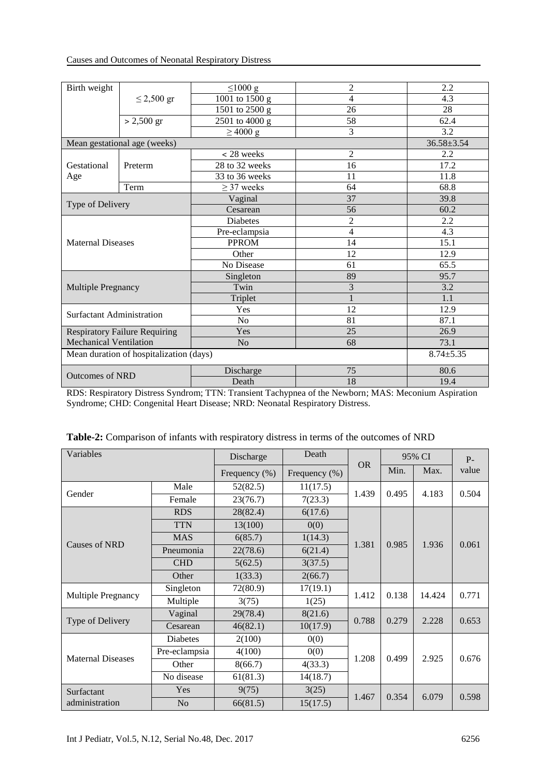| Causes and Outcomes of Neonatal Respiratory Distress |  |  |
|------------------------------------------------------|--|--|
|------------------------------------------------------|--|--|

| Birth weight                         |                                         | $\leq 1000$ g   | 2              | 2.2              |
|--------------------------------------|-----------------------------------------|-----------------|----------------|------------------|
| $\leq$ 2,500 gr                      |                                         | 1001 to 1500 g  | 4              | 4.3              |
|                                      |                                         | 1501 to 2500 g  | 26             | 28               |
|                                      | $> 2,500$ gr                            | 2501 to 4000 g  | 58             | 62.4             |
|                                      |                                         | $\geq 4000$ g   | $\overline{3}$ | $\overline{3.2}$ |
| Mean gestational age (weeks)         | $36.58 \pm 3.54$                        |                 |                |                  |
|                                      |                                         | $<$ 28 weeks    | 2              | 2.2              |
| Gestational                          | Preterm                                 | 28 to 32 weeks  | 16             | 17.2             |
| Age                                  |                                         | 33 to 36 weeks  | 11             | 11.8             |
|                                      | Term                                    | $\geq$ 37 weeks | 64             | 68.8             |
|                                      |                                         | Vaginal         | 37             | 39.8             |
| Type of Delivery                     |                                         | Cesarean        | 56             | 60.2             |
| <b>Maternal Diseases</b>             |                                         | Diabetes        | 2              | 2.2              |
|                                      |                                         | Pre-eclampsia   | $\overline{4}$ | 4.3              |
|                                      |                                         | <b>PPROM</b>    | 14             | 15.1             |
|                                      |                                         | Other           | 12             | 12.9             |
|                                      |                                         | No Disease      | 61             | 65.5             |
| Multiple Pregnancy                   |                                         | Singleton       | 89             | 95.7             |
|                                      |                                         | Twin            | 3              | 3.2              |
|                                      |                                         | Triplet         | $\mathbf{1}$   | 1.1              |
|                                      |                                         | Yes             | 12             | 12.9             |
| <b>Surfactant Administration</b>     |                                         | N <sub>o</sub>  | 81             | 87.1             |
| <b>Respiratory Failure Requiring</b> |                                         | Yes             | 25             | 26.9             |
| <b>Mechanical Ventilation</b>        |                                         | No<br>68        |                | 73.1             |
|                                      | Mean duration of hospitalization (days) |                 |                | $8.74 \pm 5.35$  |
| <b>Outcomes of NRD</b>               |                                         | Discharge       | 75             | 80.6             |
|                                      |                                         | Death           | 18             | 19.4             |

RDS: Respiratory Distress Syndrom; TTN: Transient Tachypnea of the Newborn; MAS: Meconium Aspiration Syndrome; CHD: Congenital Heart Disease; NRD: Neonatal Respiratory Distress.

| Variables                |                 | Discharge     | Death                          |       | 95% CI |        | $P-$  |
|--------------------------|-----------------|---------------|--------------------------------|-------|--------|--------|-------|
|                          |                 | Frequency (%) | <b>OR</b><br>Frequency $(\% )$ |       | Min.   | Max.   | value |
|                          | Male            | 52(82.5)      | 11(17.5)                       |       |        | 4.183  | 0.504 |
| Gender                   | Female          | 23(76.7)      | 7(23.3)                        | 1.439 | 0.495  |        |       |
|                          | <b>RDS</b>      | 28(82.4)      | 6(17.6)                        |       | 0.985  | 1.936  |       |
|                          | <b>TTN</b>      | 13(100)       | 0(0)                           |       |        |        | 0.061 |
| <b>Causes of NRD</b>     | <b>MAS</b>      | 6(85.7)       | 1(14.3)                        | 1.381 |        |        |       |
|                          | Pneumonia       | 22(78.6)      | 6(21.4)                        |       |        |        |       |
|                          | <b>CHD</b>      | 5(62.5)       | 3(37.5)                        |       |        |        |       |
|                          | Other           | 1(33.3)       | 2(66.7)                        |       |        |        |       |
| Multiple Pregnancy       | Singleton       | 72(80.9)      | 17(19.1)                       | 1.412 | 0.138  | 14.424 | 0.771 |
|                          | Multiple        | 3(75)         | 1(25)                          |       |        |        |       |
|                          | Vaginal         | 29(78.4)      | 8(21.6)                        | 0.788 | 0.279  | 2.228  |       |
| Type of Delivery         | Cesarean        | 46(82.1)      | 10(17.9)                       |       |        |        | 0.653 |
|                          | <b>Diabetes</b> | 2(100)        | 0(0)                           |       |        | 2.925  |       |
| <b>Maternal Diseases</b> | Pre-eclampsia   | 4(100)        | 0(0)                           |       | 0.499  |        |       |
|                          | Other           | 8(66.7)       | 4(33.3)                        | 1.208 |        |        | 0.676 |
|                          | No disease      | 61(81.3)      | 14(18.7)                       |       |        |        |       |
| Surfactant               | Yes             | 9(75)         | 3(25)                          | 1.467 | 0.354  | 6.079  | 0.598 |
| administration           | N <sub>o</sub>  | 66(81.5)      | 15(17.5)                       |       |        |        |       |

**Table-2:** Comparison of infants with respiratory distress in terms of the outcomes of NRD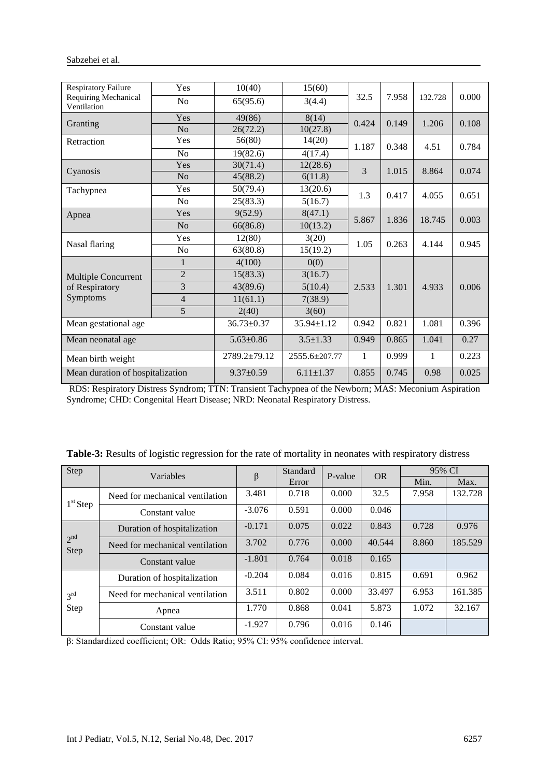| <b>Respiratory Failure</b>          | Yes            | 10(40)             | 15(60)           |                |       | 132.728 | 0.000 |
|-------------------------------------|----------------|--------------------|------------------|----------------|-------|---------|-------|
| Requiring Mechanical<br>Ventilation | N <sub>o</sub> | 65(95.6)           | 3(4.4)           | 32.5           | 7.958 |         |       |
| Granting                            | Yes            | 49(86)             | 8(14)            | 0.424          | 0.149 | 1.206   | 0.108 |
|                                     | No             | 26(72.2)           | 10(27.8)         |                |       |         |       |
| Retraction                          | Yes            | 56(80)             | 14(20)           | 1.187          | 0.348 | 4.51    | 0.784 |
|                                     | No             | 19(82.6)           | 4(17.4)          |                |       |         |       |
| Cyanosis                            | Yes            | 30(71.4)           | 12(28.6)         | 3              | 1.015 | 8.864   | 0.074 |
|                                     | N <sub>o</sub> | 45(88.2)           | 6(11.8)          |                |       |         |       |
| Tachypnea                           | Yes            | 50(79.4)           | 13(20.6)         | 1.3            | 0.417 | 4.055   | 0.651 |
|                                     | N <sub>0</sub> | 25(83.3)           | 5(16.7)          |                |       |         |       |
| Apnea                               | Yes            | 9(52.9)            | 8(47.1)          |                | 1.836 | 18.745  | 0.003 |
|                                     | N <sub>o</sub> | 66(86.8)           | 10(13.2)         | 5.867          |       |         |       |
| Nasal flaring                       | Yes            | 12(80)             | 3(20)            | 1.05           | 0.263 | 4.144   | 0.945 |
|                                     | N <sub>o</sub> | 63(80.8)           | 15(19.2)         |                |       |         |       |
|                                     | 1              | 4(100)             | 0(0)             | 2.533<br>1.301 |       | 4.933   | 0.006 |
| Multiple Concurrent                 | $\overline{2}$ | 15(83.3)           | 3(16.7)          |                |       |         |       |
| of Respiratory                      | 3              | 43(89.6)           | 5(10.4)          |                |       |         |       |
| Symptoms                            | $\overline{4}$ | 11(61.1)           | 7(38.9)          |                |       |         |       |
|                                     | 5              | 2(40)              | 3(60)            |                |       |         |       |
| Mean gestational age                |                | $36.73 \pm 0.37$   | $35.94 \pm 1.12$ | 0.942          | 0.821 | 1.081   | 0.396 |
| Mean neonatal age                   |                | $5.63 \pm 0.86$    | $3.5 + 1.33$     | 0.949          | 0.865 | 1.041   | 0.27  |
| Mean birth weight                   |                | $2789.2 \pm 79.12$ | 2555.6±207.77    | 1              | 0.999 | 1       | 0.223 |
| Mean duration of hospitalization    |                | $9.37 \pm 0.59$    | $6.11 \pm 1.37$  | 0.855          | 0.745 | 0.98    | 0.025 |

RDS: Respiratory Distress Syndrom; TTN: Transient Tachypnea of the Newborn; MAS: Meconium Aspiration Syndrome; CHD: Congenital Heart Disease; NRD: Neonatal Respiratory Distress.

| Step                    | Variables                       | β        | Standard | P-value | <b>OR</b> | 95% CI |         |
|-------------------------|---------------------------------|----------|----------|---------|-----------|--------|---------|
|                         |                                 |          | Error    |         |           | Min.   | Max.    |
| $1st$ Step              | Need for mechanical ventilation | 3.481    | 0.718    | 0.000   | 32.5      | 7.958  | 132.728 |
|                         | Constant value                  | $-3.076$ | 0.591    | 0.000   | 0.046     |        |         |
| 2 <sup>nd</sup><br>Step | Duration of hospitalization     | $-0.171$ | 0.075    | 0.022   | 0.843     | 0.728  | 0.976   |
|                         | Need for mechanical ventilation | 3.702    | 0.776    | 0.000   | 40.544    | 8.860  | 185.529 |
|                         | Constant value                  | $-1.801$ | 0.764    | 0.018   | 0.165     |        |         |
| 3 <sup>rd</sup><br>Step | Duration of hospitalization     | $-0.204$ | 0.084    | 0.016   | 0.815     | 0.691  | 0.962   |
|                         | Need for mechanical ventilation | 3.511    | 0.802    | 0.000   | 33.497    | 6.953  | 161.385 |
|                         | Apnea                           | 1.770    | 0.868    | 0.041   | 5.873     | 1.072  | 32.167  |
|                         | Constant value                  | $-1.927$ | 0.796    | 0.016   | 0.146     |        |         |

β: Standardized coefficient; OR: Odds Ratio; 95% CI: 95% confidence interval.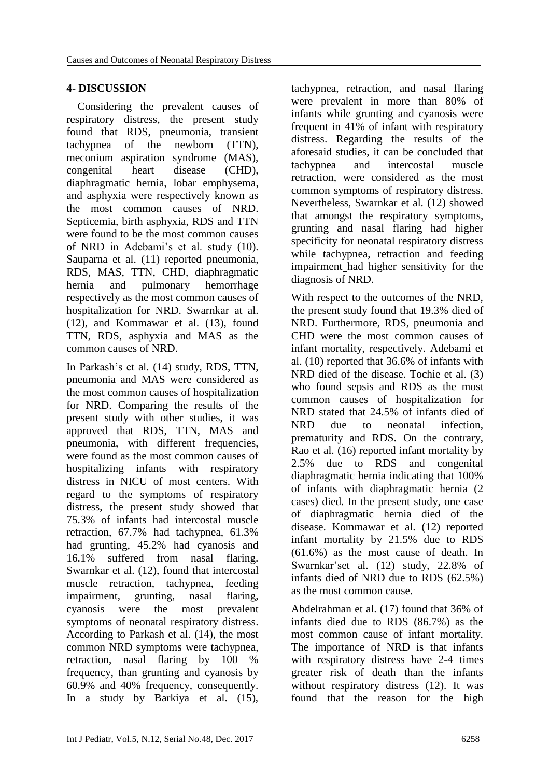# **4- DISCUSSION**

 Considering the prevalent causes of respiratory distress, the present study found that RDS, pneumonia, transient tachypnea of the newborn (TTN), meconium aspiration syndrome (MAS), congenital heart disease (CHD), diaphragmatic hernia, lobar emphysema, and asphyxia were respectively known as the most common causes of NRD. Septicemia, birth asphyxia, RDS and TTN were found to be the most common causes of NRD in Adebami's et al. study (10). Sauparna et al. (11) reported pneumonia, RDS, MAS, TTN, CHD, diaphragmatic hernia and pulmonary hemorrhage respectively as the most common causes of hospitalization for NRD. Swarnkar at al. (12), and Kommawar et al. (13), found TTN, RDS, asphyxia and MAS as the common causes of NRD.

In Parkash's et al. (14) study, RDS, TTN, pneumonia and MAS were considered as the most common causes of hospitalization for NRD. Comparing the results of the present study with other studies, it was approved that RDS, TTN, MAS and pneumonia, with different frequencies, were found as the most common causes of hospitalizing infants with respiratory distress in NICU of most centers. With regard to the symptoms of respiratory distress, the present study showed that 75.3% of infants had intercostal muscle retraction, 67.7% had tachypnea, 61.3% had grunting, 45.2% had cyanosis and 16.1% suffered from nasal flaring. Swarnkar et al. (12), found that intercostal muscle retraction, tachypnea, feeding impairment, grunting, nasal flaring, cyanosis were the most prevalent symptoms of neonatal respiratory distress. According to Parkash et al. (14), the most common NRD symptoms were tachypnea, retraction, nasal flaring by 100 % frequency, than grunting and cyanosis by 60.9% and 40% frequency, consequently. In a study by Barkiya et al. (15),

tachypnea, retraction, and nasal flaring were prevalent in more than 80% of infants while grunting and cyanosis were frequent in 41% of infant with respiratory distress. Regarding the results of the aforesaid studies, it can be concluded that tachypnea and intercostal muscle retraction, were considered as the most common symptoms of respiratory distress. Nevertheless, Swarnkar et al. (12) showed that amongst the respiratory symptoms, grunting and nasal flaring had higher specificity for neonatal respiratory distress while tachypnea, retraction and feeding impairment had higher sensitivity for the diagnosis of NRD.

With respect to the outcomes of the NRD, the present study found that 19.3% died of NRD. Furthermore, RDS, pneumonia and CHD were the most common causes of infant mortality, respectively. Adebami et al. (10) reported that 36.6% of infants with NRD died of the disease. Tochie et al. (3) who found sepsis and RDS as the most common causes of hospitalization for NRD stated that 24.5% of infants died of NRD due to neonatal infection, prematurity and RDS. On the contrary, Rao et al. (16) reported infant mortality by 2.5% due to RDS and congenital diaphragmatic hernia indicating that 100% of infants with diaphragmatic hernia (2 cases) died. In the present study, one case of diaphragmatic hernia died of the disease. Kommawar et al. (12) reported infant mortality by 21.5% due to RDS (61.6%) as the most cause of death. In Swarnkar'set al. (12) study, 22.8% of infants died of NRD due to RDS (62.5%) as the most common cause.

Abdelrahman et al. (17) found that 36% of infants died due to RDS (86.7%) as the most common cause of infant mortality. The importance of NRD is that infants with respiratory distress have 2-4 times greater risk of death than the infants without respiratory distress (12). It was found that the reason for the high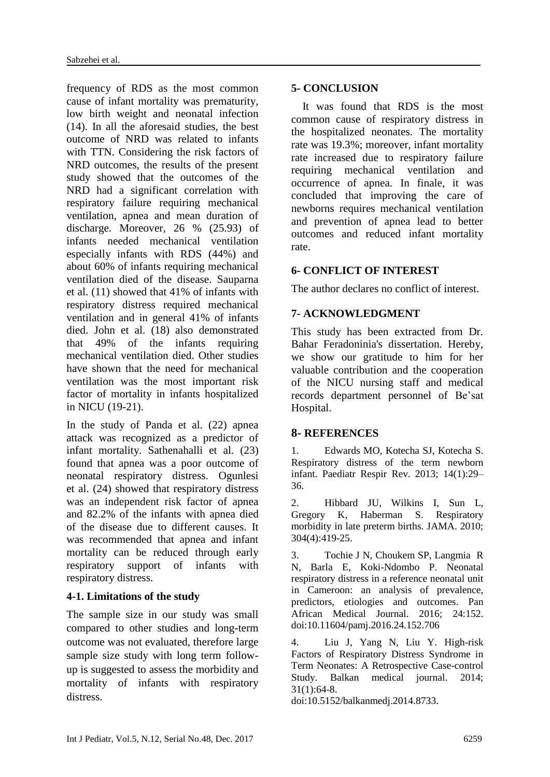frequency of RDS as the most common cause of infant mortality was prematurity, low birth weight and neonatal infection (14). In all the aforesaid studies, the best outcome of NRD was related to infants with TTN. Considering the risk factors of NRD outcomes, the results of the present study showed that the outcomes of the NRD had a significant correlation with respiratory failure requiring mechanical ventilation, apnea and mean duration of discharge. Moreover, 26 % (25.93) of infants needed mechanical ventilation especially infants with RDS (44%) and about 60% of infants requiring mechanical ventilation died of the disease. Sauparna et al. (11) showed that 41% of infants with respiratory distress required mechanical ventilation and in general 41% of infants died. John et al. (18) also demonstrated that 49% of the infants requiring mechanical ventilation died. Other studies have shown that the need for mechanical ventilation was the most important risk factor of mortality in infants hospitalized in NICU (19-21).

In the study of Panda et al. (22) apnea attack was recognized as a predictor of infant mortality. Sathenahalli et al. (23) found that apnea was a poor outcome of neonatal respiratory distress. Ogunlesi et al. (24) showed that respiratory distress was an independent risk factor of apnea and 82.2% of the infants with apnea died of the disease due to different causes. It was recommended that apnea and infant mortality can be reduced through early respiratory support of infants with respiratory distress.

## **4-1. Limitations of the study**

The sample size in our study was small compared to other studies and long-term outcome was not evaluated, therefore large sample size study with long term followup is suggested to assess the morbidity and mortality of infants with respiratory distress.

## **5- CONCLUSION**

 It was found that RDS is the most common cause of respiratory distress in the hospitalized neonates. The mortality rate was 19.3%; moreover, infant mortality rate increased due to respiratory failure requiring mechanical ventilation and occurrence of apnea. In finale, it was concluded that improving the care of newborns requires mechanical ventilation and prevention of apnea lead to better outcomes and reduced infant mortality rate.

# **6- CONFLICT OF INTEREST**

The author declares no conflict of interest.

# **7- ACKNOWLEDGMENT**

This study has been extracted from Dr. Bahar Feradoninia's dissertation. Hereby, we show our gratitude to him for her valuable contribution and the cooperation of the NICU nursing staff and medical records department personnel of Be'sat Hospital.

# **8- REFERENCES**

1. Edwards MO, Kotecha SJ, Kotecha S. Respiratory distress of the term newborn infant. Paediatr Respir Rev. 2013; 14(1):29– 36.

2. Hibbard JU, Wilkins I, Sun L, Gregory K, Haberman S. Respiratory morbidity in late preterm births. JAMA. 2010; 304(4):419-25.

3. Tochie J N, Choukem SP, Langmia R N, Barla E, Koki-Ndombo P. Neonatal respiratory distress in a reference neonatal unit in Cameroon: an analysis of prevalence, predictors, etiologies and outcomes. Pan African Medical Journal. 2016; 24:152. doi:10.11604/pamj.2016.24.152.706

4. Liu J, Yang N, Liu Y. High-risk Factors of Respiratory Distress Syndrome in Term Neonates: A Retrospective Case-control Study. Balkan medical journal. 2014; 31(1):64-8.

doi:10.5152/balkanmedj.2014.8733.